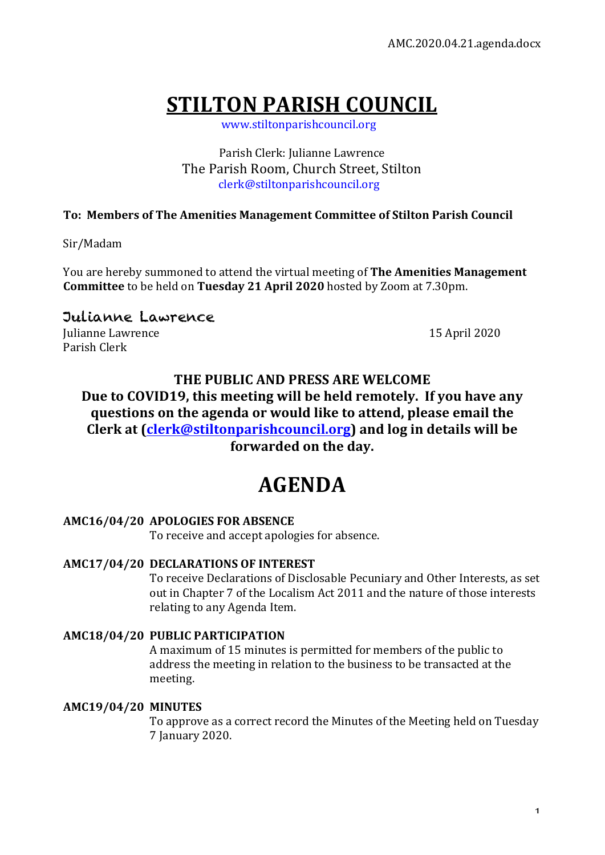# **STILTON PARISH COUNCIL**

 www.stiltonparishcouncil.org

Parish Clerk: Julianne Lawrence The Parish Room, Church Street, Stilton clerk@stiltonparishcouncil.org

## **To: Members of The Amenities Management Committee of Stilton Parish Council**

Sir/Madam

You are hereby summoned to attend the virtual meeting of **The Amenities Management Committee** to be held on **Tuesday 21 April 2020** hosted by Zoom at 7.30pm.

# Julianne Lawrence

Iulianne Lawrence 15 April 2020 Parish Clerk

## **THE PUBLIC AND PRESS ARE WELCOME**

Due to COVID19, this meeting will be held remotely. If you have any questions on the agenda or would like to attend, please email the **Clerk** at <u>Clerk@stiltonparishcouncil.org</u>) and log in details will be forwarded on the day.

# **AGENDA**

## **AMC16/04/20 APOLOGIES FOR ABSENCE**

To receive and accept apologies for absence.

## **AMC17/04/20 DECLARATIONS OF INTEREST**

To receive Declarations of Disclosable Pecuniary and Other Interests, as set out in Chapter 7 of the Localism Act 2011 and the nature of those interests relating to any Agenda Item.

### **AMC18/04/20 PUBLIC PARTICIPATION**

A maximum of 15 minutes is permitted for members of the public to address the meeting in relation to the business to be transacted at the meeting.

### **AMC19/04/20 MINUTES**

To approve as a correct record the Minutes of the Meeting held on Tuesday 7 January 2020.